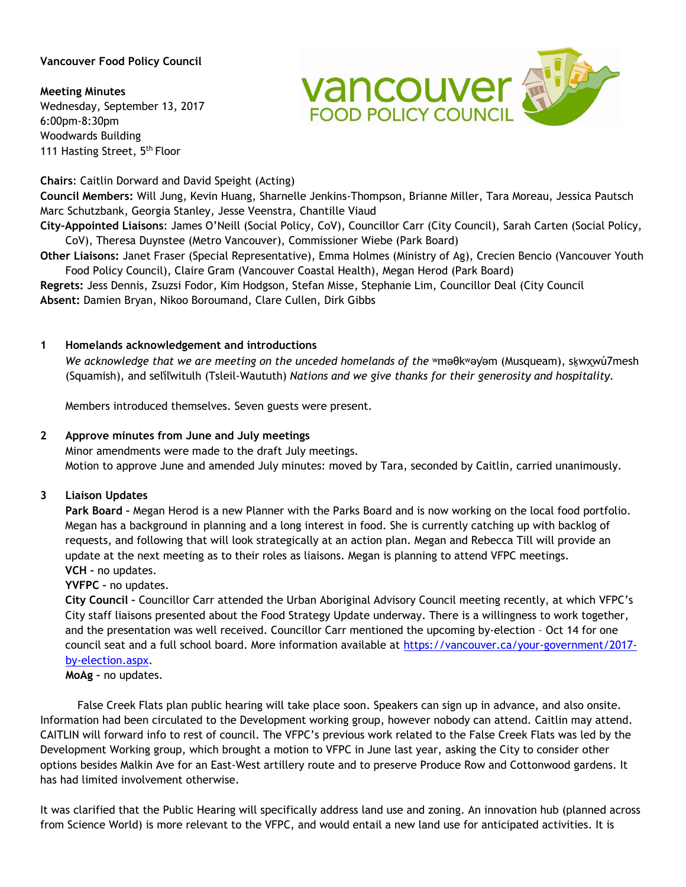## **Vancouver Food Policy Council**

**Meeting Minutes** Wednesday, September 13, 2017 6:00pm-8:30pm Woodwards Building 111 Hasting Street, 5<sup>th</sup> Floor

**Chairs**: Caitlin Dorward and David Speight (Acting)

**Council Members:** Will Jung, Kevin Huang, Sharnelle Jenkins-Thompson, Brianne Miller, Tara Moreau, Jessica Pautsch Marc Schutzbank, Georgia Stanley, Jesse Veenstra, Chantille Viaud

**City-Appointed Liaisons**: James O'Neill (Social Policy, CoV), Councillor Carr (City Council), Sarah Carten (Social Policy, CoV), Theresa Duynstee (Metro Vancouver), Commissioner Wiebe (Park Board)

**Other Liaisons:** Janet Fraser (Special Representative), Emma Holmes (Ministry of Ag), Crecien Bencio (Vancouver Youth Food Policy Council), Claire Gram (Vancouver Coastal Health), Megan Herod (Park Board)

**Regrets:** Jess Dennis, Zsuzsi Fodor, Kim Hodgson, Stefan Misse, Stephanie Lim, Councillor Deal (City Council **Absent:** Damien Bryan, Nikoo Boroumand, Clare Cullen, Dirk Gibbs

### **1 Homelands acknowledgement and introductions**

*We acknowledge that we are meeting on the unceded homelands of the* ʷməθkʷəy̓əm (Musqueam), sḵwx̱wú7mesh (Squamish), and sel̓íl̓witulh (Tsleil-Waututh) *Nations and we give thanks for their generosity and hospitality.*

Members introduced themselves. Seven guests were present.

#### **2 Approve minutes from June and July meetings**

Minor amendments were made to the draft July meetings. Motion to approve June and amended July minutes: moved by Tara, seconded by Caitlin, carried unanimously.

#### **3 Liaison Updates**

**Park Board –** Megan Herod is a new Planner with the Parks Board and is now working on the local food portfolio. Megan has a background in planning and a long interest in food. She is currently catching up with backlog of requests, and following that will look strategically at an action plan. Megan and Rebecca Till will provide an update at the next meeting as to their roles as liaisons. Megan is planning to attend VFPC meetings. **VCH –** no updates.

#### **YVFPC –** no updates.

**City Council –** Councillor Carr attended the Urban Aboriginal Advisory Council meeting recently, at which VFPC's City staff liaisons presented about the Food Strategy Update underway. There is a willingness to work together, and the presentation was well received. Councillor Carr mentioned the upcoming by-election – Oct 14 for one council seat and a full school board. More information available at [https://vancouver.ca/your-government/2017](https://vancouver.ca/your-government/2017-by-election.aspx) [by-election.aspx.](https://vancouver.ca/your-government/2017-by-election.aspx)

**MoAg –** no updates.

False Creek Flats plan public hearing will take place soon. Speakers can sign up in advance, and also onsite. Information had been circulated to the Development working group, however nobody can attend. Caitlin may attend. CAITLIN will forward info to rest of council. The VFPC's previous work related to the False Creek Flats was led by the Development Working group, which brought a motion to VFPC in June last year, asking the City to consider other options besides Malkin Ave for an East-West artillery route and to preserve Produce Row and Cottonwood gardens. It has had limited involvement otherwise.

It was clarified that the Public Hearing will specifically address land use and zoning. An innovation hub (planned across from Science World) is more relevant to the VFPC, and would entail a new land use for anticipated activities. It is

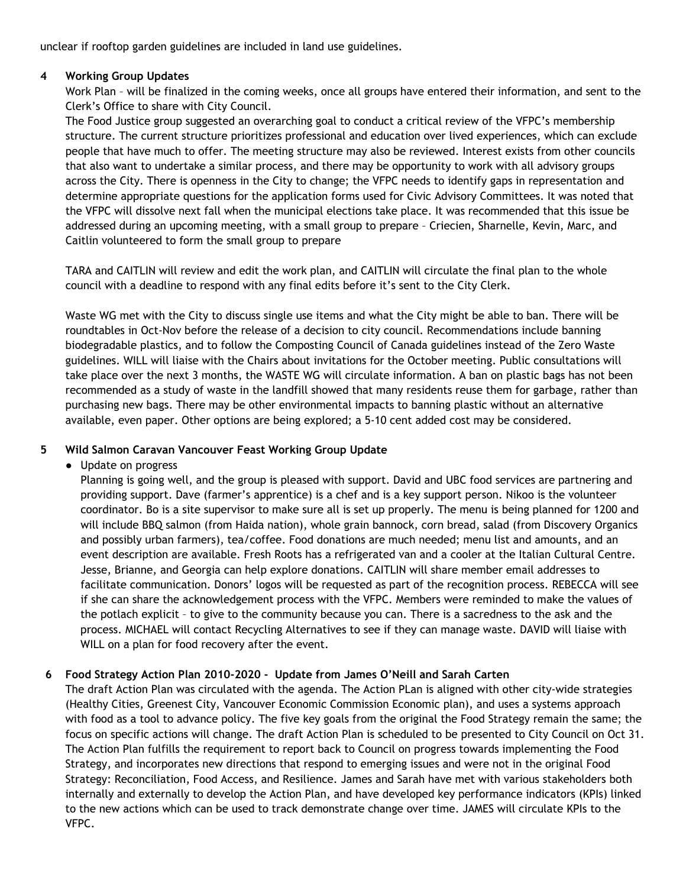unclear if rooftop garden guidelines are included in land use guidelines.

## **4 Working Group Updates**

Work Plan – will be finalized in the coming weeks, once all groups have entered their information, and sent to the Clerk's Office to share with City Council.

 The Food Justice group suggested an overarching goal to conduct a critical review of the VFPC's membership structure. The current structure prioritizes professional and education over lived experiences, which can exclude people that have much to offer. The meeting structure may also be reviewed. Interest exists from other councils that also want to undertake a similar process, and there may be opportunity to work with all advisory groups across the City. There is openness in the City to change; the VFPC needs to identify gaps in representation and determine appropriate questions for the application forms used for Civic Advisory Committees. It was noted that the VFPC will dissolve next fall when the municipal elections take place. It was recommended that this issue be addressed during an upcoming meeting, with a small group to prepare – Criecien, Sharnelle, Kevin, Marc, and Caitlin volunteered to form the small group to prepare

TARA and CAITLIN will review and edit the work plan, and CAITLIN will circulate the final plan to the whole council with a deadline to respond with any final edits before it's sent to the City Clerk.

Waste WG met with the City to discuss single use items and what the City might be able to ban. There will be roundtables in Oct-Nov before the release of a decision to city council. Recommendations include banning biodegradable plastics, and to follow the Composting Council of Canada guidelines instead of the Zero Waste guidelines. WILL will liaise with the Chairs about invitations for the October meeting. Public consultations will take place over the next 3 months, the WASTE WG will circulate information. A ban on plastic bags has not been recommended as a study of waste in the landfill showed that many residents reuse them for garbage, rather than purchasing new bags. There may be other environmental impacts to banning plastic without an alternative available, even paper. Other options are being explored; a 5-10 cent added cost may be considered.

## **5 Wild Salmon Caravan Vancouver Feast Working Group Update**

# ● Update on progress

Planning is going well, and the group is pleased with support. David and UBC food services are partnering and providing support. Dave (farmer's apprentice) is a chef and is a key support person. Nikoo is the volunteer coordinator. Bo is a site supervisor to make sure all is set up properly. The menu is being planned for 1200 and will include BBQ salmon (from Haida nation), whole grain bannock, corn bread, salad (from Discovery Organics and possibly urban farmers), tea/coffee. Food donations are much needed; menu list and amounts, and an event description are available. Fresh Roots has a refrigerated van and a cooler at the Italian Cultural Centre. Jesse, Brianne, and Georgia can help explore donations. CAITLIN will share member email addresses to facilitate communication. Donors' logos will be requested as part of the recognition process. REBECCA will see if she can share the acknowledgement process with the VFPC. Members were reminded to make the values of the potlach explicit – to give to the community because you can. There is a sacredness to the ask and the process. MICHAEL will contact Recycling Alternatives to see if they can manage waste. DAVID will liaise with WILL on a plan for food recovery after the event.

# **6 Food Strategy Action Plan 2010-2020 - Update from James O'Neill and Sarah Carten**

The draft Action Plan was circulated with the agenda. The Action PLan is aligned with other city-wide strategies (Healthy Cities, Greenest City, Vancouver Economic Commission Economic plan), and uses a systems approach with food as a tool to advance policy. The five key goals from the original the Food Strategy remain the same; the focus on specific actions will change. The draft Action Plan is scheduled to be presented to City Council on Oct 31. The Action Plan fulfills the requirement to report back to Council on progress towards implementing the Food Strategy, and incorporates new directions that respond to emerging issues and were not in the original Food Strategy: Reconciliation, Food Access, and Resilience. James and Sarah have met with various stakeholders both internally and externally to develop the Action Plan, and have developed key performance indicators (KPIs) linked to the new actions which can be used to track demonstrate change over time. JAMES will circulate KPIs to the VFPC.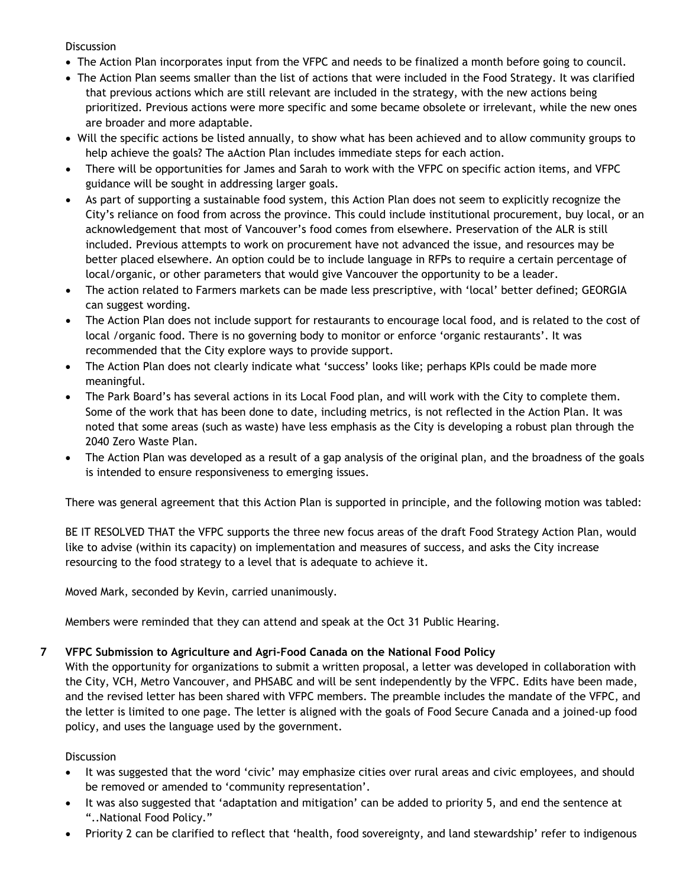### **Discussion**

- The Action Plan incorporates input from the VFPC and needs to be finalized a month before going to council.
- The Action Plan seems smaller than the list of actions that were included in the Food Strategy. It was clarified that previous actions which are still relevant are included in the strategy, with the new actions being prioritized. Previous actions were more specific and some became obsolete or irrelevant, while the new ones are broader and more adaptable.
- Will the specific actions be listed annually, to show what has been achieved and to allow community groups to help achieve the goals? The aAction Plan includes immediate steps for each action.
- There will be opportunities for James and Sarah to work with the VFPC on specific action items, and VFPC guidance will be sought in addressing larger goals.
- As part of supporting a sustainable food system, this Action Plan does not seem to explicitly recognize the City's reliance on food from across the province. This could include institutional procurement, buy local, or an acknowledgement that most of Vancouver's food comes from elsewhere. Preservation of the ALR is still included. Previous attempts to work on procurement have not advanced the issue, and resources may be better placed elsewhere. An option could be to include language in RFPs to require a certain percentage of local/organic, or other parameters that would give Vancouver the opportunity to be a leader.
- The action related to Farmers markets can be made less prescriptive, with 'local' better defined; GEORGIA can suggest wording.
- The Action Plan does not include support for restaurants to encourage local food, and is related to the cost of local /organic food. There is no governing body to monitor or enforce 'organic restaurants'. It was recommended that the City explore ways to provide support.
- The Action Plan does not clearly indicate what 'success' looks like; perhaps KPIs could be made more meaningful.
- The Park Board's has several actions in its Local Food plan, and will work with the City to complete them. Some of the work that has been done to date, including metrics, is not reflected in the Action Plan. It was noted that some areas (such as waste) have less emphasis as the City is developing a robust plan through the 2040 Zero Waste Plan.
- The Action Plan was developed as a result of a gap analysis of the original plan, and the broadness of the goals is intended to ensure responsiveness to emerging issues.

There was general agreement that this Action Plan is supported in principle, and the following motion was tabled:

BE IT RESOLVED THAT the VFPC supports the three new focus areas of the draft Food Strategy Action Plan, would like to advise (within its capacity) on implementation and measures of success, and asks the City increase resourcing to the food strategy to a level that is adequate to achieve it.

Moved Mark, seconded by Kevin, carried unanimously.

Members were reminded that they can attend and speak at the Oct 31 Public Hearing.

## **7 VFPC Submission to Agriculture and Agri-Food Canada on the National Food Policy**

With the opportunity for organizations to submit a written proposal, a letter was developed in collaboration with the City, VCH, Metro Vancouver, and PHSABC and will be sent independently by the VFPC. Edits have been made, and the revised letter has been shared with VFPC members. The preamble includes the mandate of the VFPC, and the letter is limited to one page. The letter is aligned with the goals of Food Secure Canada and a joined-up food policy, and uses the language used by the government.

### **Discussion**

- It was suggested that the word 'civic' may emphasize cities over rural areas and civic employees, and should be removed or amended to 'community representation'.
- It was also suggested that 'adaptation and mitigation' can be added to priority 5, and end the sentence at "..National Food Policy."
- Priority 2 can be clarified to reflect that 'health, food sovereignty, and land stewardship' refer to indigenous